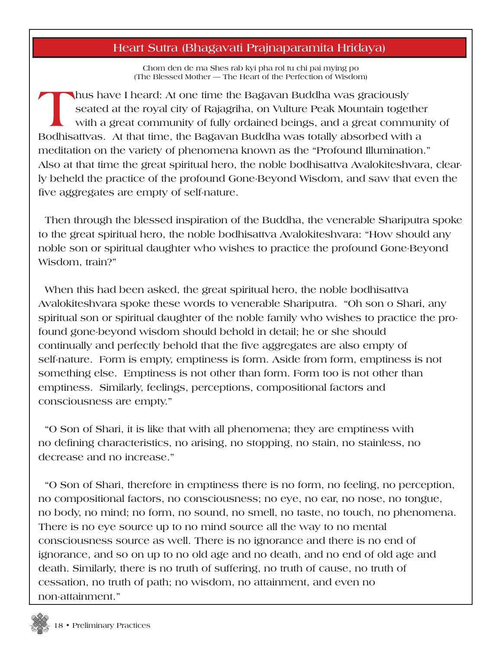## **Heart Sutra (Bhagavati Prajnaparamita Hridaya)**

**Chom den de ma Shes rab kyi pha rol tu chi pai mying po (The Blessed Mother — The Heart of the Perfection of Wisdom)**

**Thus have I heard: At one time the Bagavan Buddha was graciously seated at the royal city of Rajagriha, on Vulture Peak Mountain together with a great community of fully ordained beings, and a great community of Bodhisattvas. At that time, the Bagavan Buddha was totally absorbed with a meditation on the variety of phenomena known as the "Profound Illumination." Also at that time the great spiritual hero, the noble bodhisattva Avalokiteshvara, clearly beheld the practice of the profound Gone-Beyond Wisdom, and saw that even the five aggregates are empty of self-nature.**

 **Then through the blessed inspiration of the Buddha, the venerable Shariputra spoke to the great spiritual hero, the noble bodhisattva Avalokiteshvara: "How should any noble son or spiritual daughter who wishes to practice the profound Gone-Beyond Wisdom, train?"**

 **When this had been asked, the great spiritual hero, the noble bodhisattva Avalokiteshvara spoke these words to venerable Shariputra. "Oh son o Shari, any spiritual son or spiritual daughter of the noble family who wishes to practice the profound gone-beyond wisdom should behold in detail; he or she should continually and perfectly behold that the five aggregates are also empty of self-nature. Form is empty, emptiness is form. Aside from form, emptiness is not something else. Emptiness is not other than form. Form too is not other than emptiness. Similarly, feelings, perceptions, compositional factors and consciousness are empty."**

 **"O Son of Shari, it is like that with all phenomena; they are emptiness with no defining characteristics, no arising, no stopping, no stain, no stainless, no decrease and no increase."**

 **"O Son of Shari, therefore in emptiness there is no form, no feeling, no perception, no compositional factors, no consciousness; no eye, no ear, no nose, no tongue, no body, no mind; no form, no sound, no smell, no taste, no touch, no phenomena. There is no eye source up to no mind source all the way to no mental consciousness source as well. There is no ignorance and there is no end of ignorance, and so on up to no old age and no death, and no end of old age and death. Similarly, there is no truth of suffering, no truth of cause, no truth of cessation, no truth of path; no wisdom, no attainment, and even no non-attainment."**